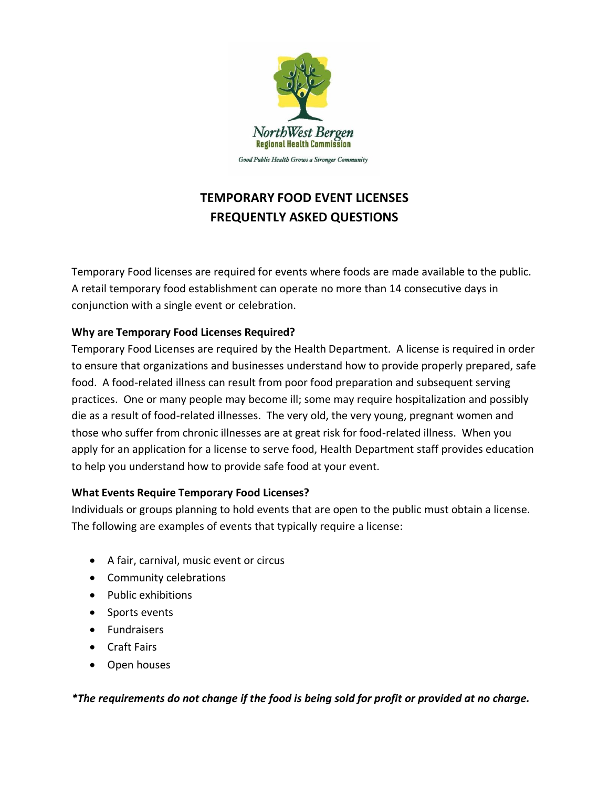

# **TEMPORARY FOOD EVENT LICENSES FREQUENTLY ASKED QUESTIONS**

Temporary Food licenses are required for events where foods are made available to the public. A retail temporary food establishment can operate no more than 14 consecutive days in conjunction with a single event or celebration.

# **Why are Temporary Food Licenses Required?**

Temporary Food Licenses are required by the Health Department. A license is required in order to ensure that organizations and businesses understand how to provide properly prepared, safe food. A food-related illness can result from poor food preparation and subsequent serving practices. One or many people may become ill; some may require hospitalization and possibly die as a result of food-related illnesses. The very old, the very young, pregnant women and those who suffer from chronic illnesses are at great risk for food-related illness. When you apply for an application for a license to serve food, Health Department staff provides education to help you understand how to provide safe food at your event.

# **What Events Require Temporary Food Licenses?**

Individuals or groups planning to hold events that are open to the public must obtain a license. The following are examples of events that typically require a license:

- A fair, carnival, music event or circus
- Community celebrations
- Public exhibitions
- Sports events
- Fundraisers
- Craft Fairs
- Open houses

*\*The requirements do not change if the food is being sold for profit or provided at no charge.*